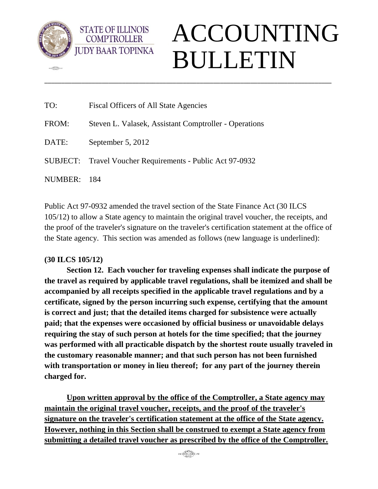

**COD** 

**COMPTROLLER** 



| TO:     | <b>Fiscal Officers of All State Agencies</b>              |
|---------|-----------------------------------------------------------|
| FROM:   | Steven L. Valasek, Assistant Comptroller - Operations     |
| DATE:   | September 5, 2012                                         |
|         | SUBJECT: Travel Voucher Requirements - Public Act 97-0932 |
| NUMBER: | - 184                                                     |

Public Act 97-0932 amended the travel section of the State Finance Act (30 ILCS 105/12) to allow a State agency to maintain the original travel voucher, the receipts, and the proof of the traveler's signature on the traveler's certification statement at the office of the State agency. This section was amended as follows (new language is underlined):

\_\_\_\_\_\_\_\_\_\_\_\_\_\_\_\_\_\_\_\_\_\_\_\_\_\_\_\_\_\_\_\_\_\_\_\_\_\_\_\_\_\_\_\_\_\_\_\_\_\_\_\_\_\_\_\_\_\_\_\_\_\_\_\_\_\_\_\_\_\_\_\_\_\_\_\_\_\_\_\_\_\_\_\_\_

## **(30 ILCS 105/12)**

**Section 12. Each voucher for traveling expenses shall indicate the purpose of the travel as required by applicable travel regulations, shall be itemized and shall be accompanied by all receipts specified in the applicable travel regulations and by a certificate, signed by the person incurring such expense, certifying that the amount is correct and just; that the detailed items charged for subsistence were actually paid; that the expenses were occasioned by official business or unavoidable delays requiring the stay of such person at hotels for the time specified; that the journey was performed with all practicable dispatch by the shortest route usually traveled in the customary reasonable manner; and that such person has not been furnished with transportation or money in lieu thereof; for any part of the journey therein charged for.** 

**Upon written approval by the office of the Comptroller, a State agency may maintain the original travel voucher, receipts, and the proof of the traveler's signature on the traveler's certification statement at the office of the State agency. However, nothing in this Section shall be construed to exempt a State agency from submitting a detailed travel voucher as prescribed by the office of the Comptroller.**

 $916 \underbrace{\overbrace{\text{GMDR}}\text{LABEL}}_{\text{FILAGC}} 4717$